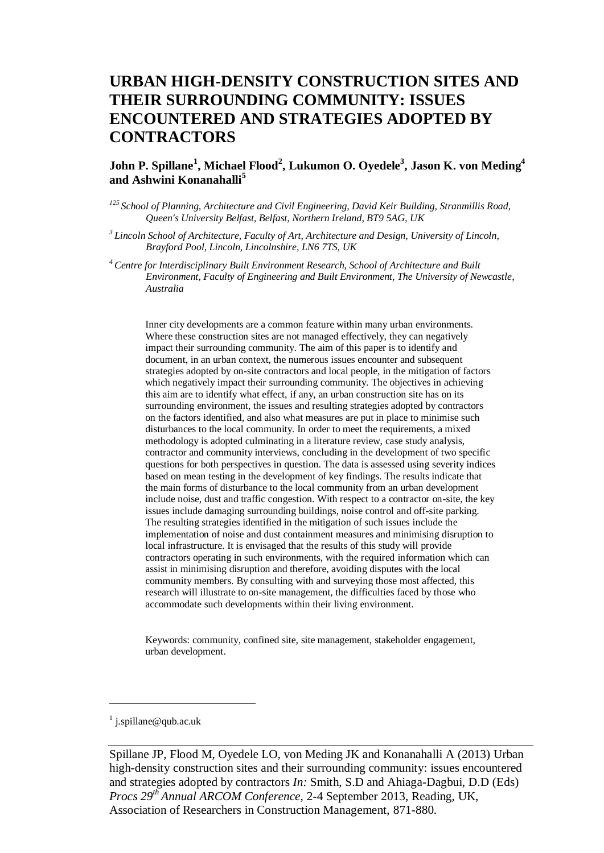# **URBAN HIGH-DENSITY CONSTRUCTION SITES AND THEIR SURROUNDING COMMUNITY: ISSUES ENCOUNTERED AND STRATEGIES ADOPTED BY CONTRACTORS**

## **John P. Spillane<sup>1</sup> , Michael Flood<sup>2</sup> , Lukumon O. Oyedele<sup>3</sup> , Jason K. von Meding<sup>4</sup> and Ashwini Konanahalli<sup>5</sup>**

- *<sup>125</sup>School of Planning, Architecture and Civil Engineering, David Keir Building, Stranmillis Road, Queen's University Belfast, Belfast, Northern Ireland, BT9 5AG, UK*
- *<sup>3</sup>Lincoln School of Architecture, Faculty of Art, Architecture and Design, University of Lincoln, Brayford Pool, Lincoln, Lincolnshire, LN6 7TS, UK*
- *<sup>4</sup>Centre for Interdisciplinary Built Environment Research, School of Architecture and Built Environment, Faculty of Engineering and Built Environment, The University of Newcastle, Australia*

Inner city developments are a common feature within many urban environments. Where these construction sites are not managed effectively, they can negatively impact their surrounding community. The aim of this paper is to identify and document, in an urban context, the numerous issues encounter and subsequent strategies adopted by on-site contractors and local people, in the mitigation of factors which negatively impact their surrounding community. The objectives in achieving this aim are to identify what effect, if any, an urban construction site has on its surrounding environment, the issues and resulting strategies adopted by contractors on the factors identified, and also what measures are put in place to minimise such disturbances to the local community. In order to meet the requirements, a mixed methodology is adopted culminating in a literature review, case study analysis, contractor and community interviews, concluding in the development of two specific questions for both perspectives in question. The data is assessed using severity indices based on mean testing in the development of key findings. The results indicate that the main forms of disturbance to the local community from an urban development include noise, dust and traffic congestion. With respect to a contractor on-site, the key issues include damaging surrounding buildings, noise control and off-site parking. The resulting strategies identified in the mitigation of such issues include the implementation of noise and dust containment measures and minimising disruption to local infrastructure. It is envisaged that the results of this study will provide contractors operating in such environments, with the required information which can assist in minimising disruption and therefore, avoiding disputes with the local community members. By consulting with and surveying those most affected, this research will illustrate to on-site management, the difficulties faced by those who accommodate such developments within their living environment.

Keywords: community, confined site, site management, stakeholder engagement, urban development.

#### <sup>1</sup> j.spillane@qub.ac.uk

 $\overline{a}$ 

Spillane JP, Flood M, Oyedele LO, von Meding JK and Konanahalli A (2013) Urban high-density construction sites and their surrounding community: issues encountered and strategies adopted by contractors *In:* Smith, S.D and Ahiaga-Dagbui, D.D (Eds) *Procs 29th Annual ARCOM Conference,* 2-4 September 2013, Reading, UK, Association of Researchers in Construction Management, 871[-880.](#page-9-0)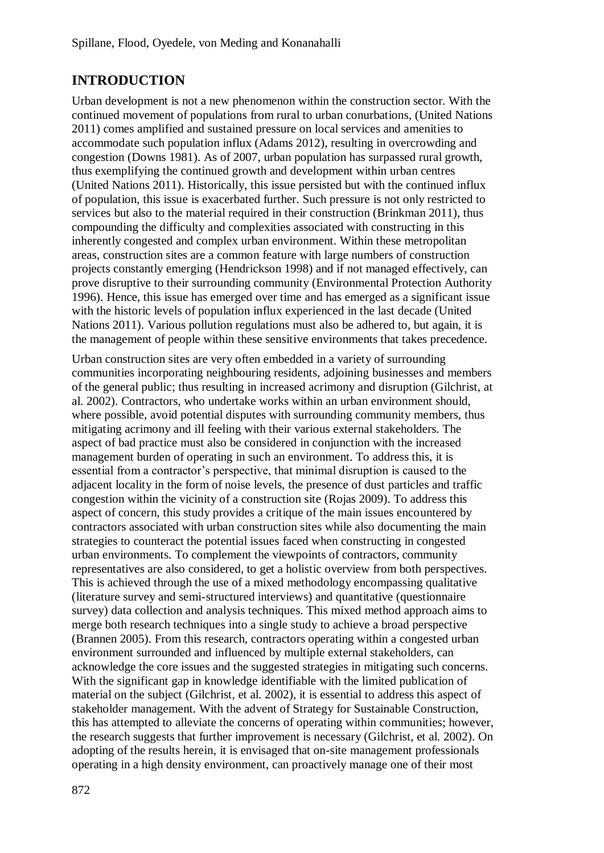# **INTRODUCTION**

Urban development is not a new phenomenon within the construction sector. With the continued movement of populations from rural to urban conurbations, (United Nations 2011) comes amplified and sustained pressure on local services and amenities to accommodate such population influx (Adams 2012), resulting in overcrowding and congestion (Downs 1981). As of 2007, urban population has surpassed rural growth, thus exemplifying the continued growth and development within urban centres (United Nations 2011). Historically, this issue persisted but with the continued influx of population, this issue is exacerbated further. Such pressure is not only restricted to services but also to the material required in their construction (Brinkman 2011), thus compounding the difficulty and complexities associated with constructing in this inherently congested and complex urban environment. Within these metropolitan areas, construction sites are a common feature with large numbers of construction projects constantly emerging (Hendrickson 1998) and if not managed effectively, can prove disruptive to their surrounding community (Environmental Protection Authority 1996). Hence, this issue has emerged over time and has emerged as a significant issue with the historic levels of population influx experienced in the last decade (United Nations 2011). Various pollution regulations must also be adhered to, but again, it is the management of people within these sensitive environments that takes precedence.

Urban construction sites are very often embedded in a variety of surrounding communities incorporating neighbouring residents, adjoining businesses and members of the general public; thus resulting in increased acrimony and disruption (Gilchrist, at al. 2002). Contractors, who undertake works within an urban environment should, where possible, avoid potential disputes with surrounding community members, thus mitigating acrimony and ill feeling with their various external stakeholders. The aspect of bad practice must also be considered in conjunction with the increased management burden of operating in such an environment. To address this, it is essential from a contractor's perspective, that minimal disruption is caused to the adjacent locality in the form of noise levels, the presence of dust particles and traffic congestion within the vicinity of a construction site (Rojas 2009). To address this aspect of concern, this study provides a critique of the main issues encountered by contractors associated with urban construction sites while also documenting the main strategies to counteract the potential issues faced when constructing in congested urban environments. To complement the viewpoints of contractors, community representatives are also considered, to get a holistic overview from both perspectives. This is achieved through the use of a mixed methodology encompassing qualitative (literature survey and semi-structured interviews) and quantitative (questionnaire survey) data collection and analysis techniques. This mixed method approach aims to merge both research techniques into a single study to achieve a broad perspective (Brannen 2005). From this research, contractors operating within a congested urban environment surrounded and influenced by multiple external stakeholders, can acknowledge the core issues and the suggested strategies in mitigating such concerns. With the significant gap in knowledge identifiable with the limited publication of material on the subject (Gilchrist, et al. 2002), it is essential to address this aspect of stakeholder management. With the advent of Strategy for Sustainable Construction, this has attempted to alleviate the concerns of operating within communities; however, the research suggests that further improvement is necessary (Gilchrist, et al. 2002). On adopting of the results herein, it is envisaged that on-site management professionals operating in a high density environment, can proactively manage one of their most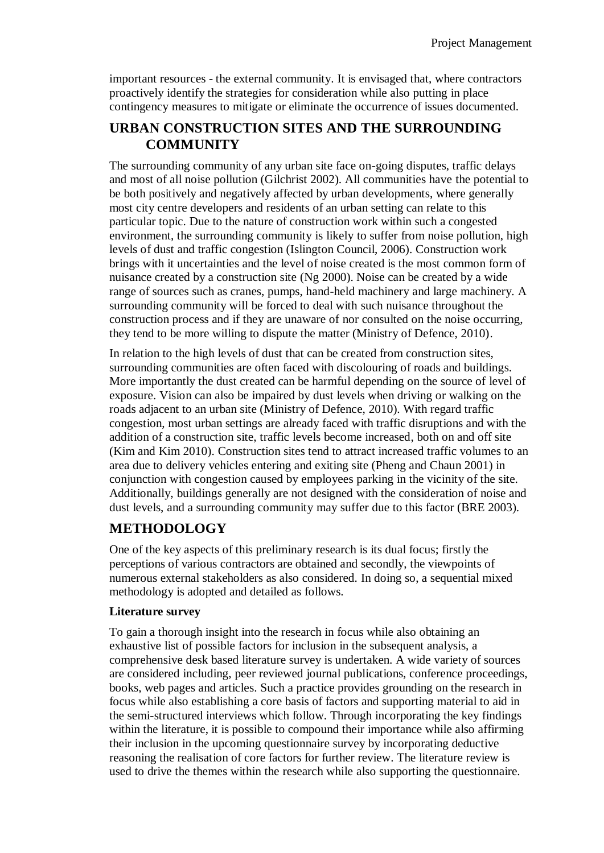important resources - the external community. It is envisaged that, where contractors proactively identify the strategies for consideration while also putting in place contingency measures to mitigate or eliminate the occurrence of issues documented.

## **URBAN CONSTRUCTION SITES AND THE SURROUNDING COMMUNITY**

The surrounding community of any urban site face on-going disputes, traffic delays and most of all noise pollution (Gilchrist 2002). All communities have the potential to be both positively and negatively affected by urban developments, where generally most city centre developers and residents of an urban setting can relate to this particular topic. Due to the nature of construction work within such a congested environment, the surrounding community is likely to suffer from noise pollution, high levels of dust and traffic congestion (Islington Council, 2006). Construction work brings with it uncertainties and the level of noise created is the most common form of nuisance created by a construction site (Ng 2000). Noise can be created by a wide range of sources such as cranes, pumps, hand-held machinery and large machinery. A surrounding community will be forced to deal with such nuisance throughout the construction process and if they are unaware of nor consulted on the noise occurring, they tend to be more willing to dispute the matter (Ministry of Defence, 2010).

In relation to the high levels of dust that can be created from construction sites, surrounding communities are often faced with discolouring of roads and buildings. More importantly the dust created can be harmful depending on the source of level of exposure. Vision can also be impaired by dust levels when driving or walking on the roads adjacent to an urban site (Ministry of Defence, 2010). With regard traffic congestion, most urban settings are already faced with traffic disruptions and with the addition of a construction site, traffic levels become increased, both on and off site (Kim and Kim 2010). Construction sites tend to attract increased traffic volumes to an area due to delivery vehicles entering and exiting site (Pheng and Chaun 2001) in conjunction with congestion caused by employees parking in the vicinity of the site. Additionally, buildings generally are not designed with the consideration of noise and dust levels, and a surrounding community may suffer due to this factor (BRE 2003).

## **METHODOLOGY**

One of the key aspects of this preliminary research is its dual focus; firstly the perceptions of various contractors are obtained and secondly, the viewpoints of numerous external stakeholders as also considered. In doing so, a sequential mixed methodology is adopted and detailed as follows.

## **Literature survey**

To gain a thorough insight into the research in focus while also obtaining an exhaustive list of possible factors for inclusion in the subsequent analysis, a comprehensive desk based literature survey is undertaken. A wide variety of sources are considered including, peer reviewed journal publications, conference proceedings, books, web pages and articles. Such a practice provides grounding on the research in focus while also establishing a core basis of factors and supporting material to aid in the semi-structured interviews which follow. Through incorporating the key findings within the literature, it is possible to compound their importance while also affirming their inclusion in the upcoming questionnaire survey by incorporating deductive reasoning the realisation of core factors for further review. The literature review is used to drive the themes within the research while also supporting the questionnaire.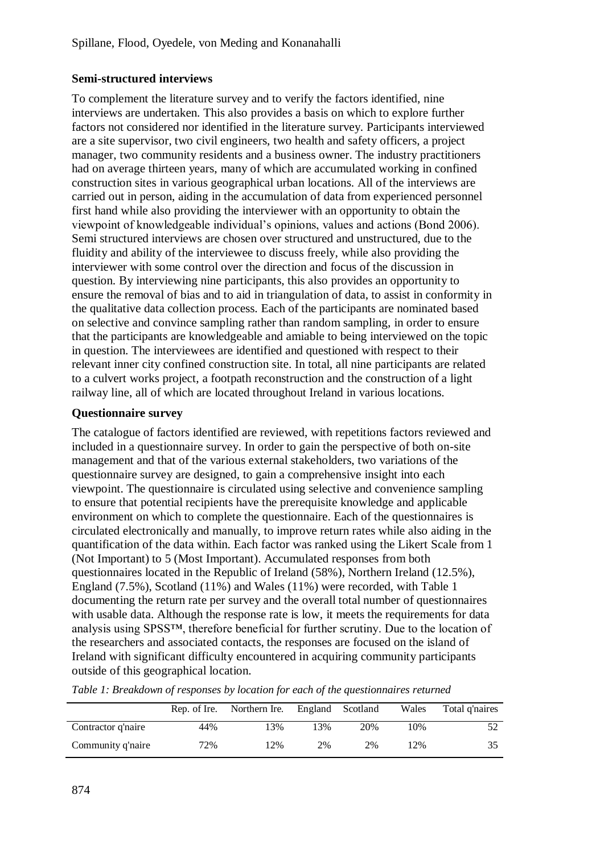## **Semi-structured interviews**

To complement the literature survey and to verify the factors identified, nine interviews are undertaken. This also provides a basis on which to explore further factors not considered nor identified in the literature survey. Participants interviewed are a site supervisor, two civil engineers, two health and safety officers, a project manager, two community residents and a business owner. The industry practitioners had on average thirteen years, many of which are accumulated working in confined construction sites in various geographical urban locations. All of the interviews are carried out in person, aiding in the accumulation of data from experienced personnel first hand while also providing the interviewer with an opportunity to obtain the viewpoint of knowledgeable individual's opinions, values and actions (Bond 2006). Semi structured interviews are chosen over structured and unstructured, due to the fluidity and ability of the interviewee to discuss freely, while also providing the interviewer with some control over the direction and focus of the discussion in question. By interviewing nine participants, this also provides an opportunity to ensure the removal of bias and to aid in triangulation of data, to assist in conformity in the qualitative data collection process. Each of the participants are nominated based on selective and convince sampling rather than random sampling, in order to ensure that the participants are knowledgeable and amiable to being interviewed on the topic in question. The interviewees are identified and questioned with respect to their relevant inner city confined construction site. In total, all nine participants are related to a culvert works project, a footpath reconstruction and the construction of a light railway line, all of which are located throughout Ireland in various locations.

## **Questionnaire survey**

The catalogue of factors identified are reviewed, with repetitions factors reviewed and included in a questionnaire survey. In order to gain the perspective of both on-site management and that of the various external stakeholders, two variations of the questionnaire survey are designed, to gain a comprehensive insight into each viewpoint. The questionnaire is circulated using selective and convenience sampling to ensure that potential recipients have the prerequisite knowledge and applicable environment on which to complete the questionnaire. Each of the questionnaires is circulated electronically and manually, to improve return rates while also aiding in the quantification of the data within. Each factor was ranked using the Likert Scale from 1 (Not Important) to 5 (Most Important). Accumulated responses from both questionnaires located in the Republic of Ireland (58%), Northern Ireland (12.5%), England (7.5%), Scotland (11%) and Wales (11%) were recorded, with Table 1 documenting the return rate per survey and the overall total number of questionnaires with usable data. Although the response rate is low, it meets the requirements for data analysis using SPSS™, therefore beneficial for further scrutiny. Due to the location of the researchers and associated contacts, the responses are focused on the island of Ireland with significant difficulty encountered in acquiring community participants outside of this geographical location.

|                    |     | Rep. of Ire. Northern Ire. England Scotland |     |     | Wales | Total g'naires |
|--------------------|-----|---------------------------------------------|-----|-----|-------|----------------|
| Contractor q'naire | 44% | 13%                                         | 13% | 20% | 10%   |                |
| Community q'naire  | 72% | 12%                                         | 2%  | 2%  | 12%   | 35             |

*Table 1: Breakdown of responses by location for each of the questionnaires returned*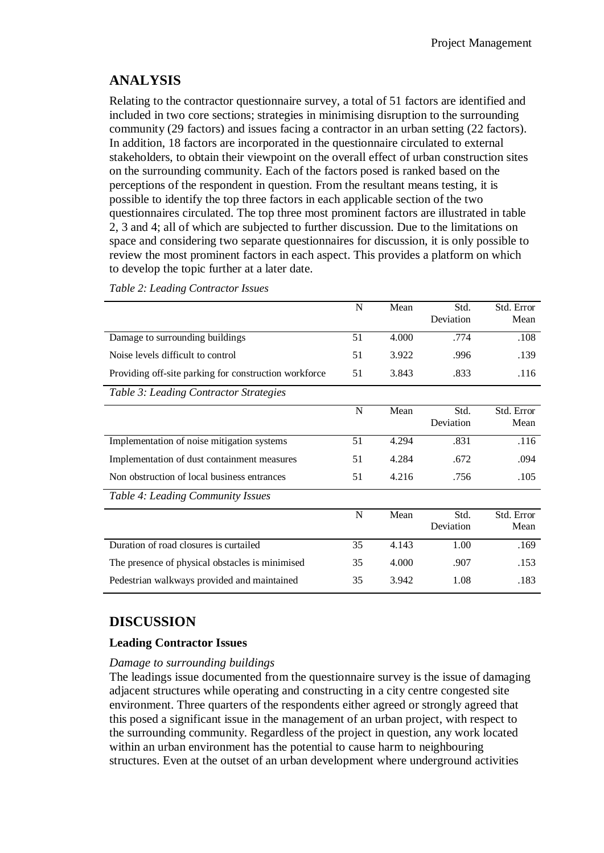## **ANALYSIS**

Relating to the contractor questionnaire survey, a total of 51 factors are identified and included in two core sections; strategies in minimising disruption to the surrounding community (29 factors) and issues facing a contractor in an urban setting (22 factors). In addition, 18 factors are incorporated in the questionnaire circulated to external stakeholders, to obtain their viewpoint on the overall effect of urban construction sites on the surrounding community. Each of the factors posed is ranked based on the perceptions of the respondent in question. From the resultant means testing, it is possible to identify the top three factors in each applicable section of the two questionnaires circulated. The top three most prominent factors are illustrated in table 2, 3 and 4; all of which are subjected to further discussion. Due to the limitations on space and considering two separate questionnaires for discussion, it is only possible to review the most prominent factors in each aspect. This provides a platform on which to develop the topic further at a later date.

|                                                       | N           | Mean  | Std.      | Std. Error |
|-------------------------------------------------------|-------------|-------|-----------|------------|
|                                                       |             |       | Deviation | Mean       |
| Damage to surrounding buildings                       | 51          | 4.000 | .774      | .108       |
| Noise levels difficult to control                     | 51          | 3.922 | .996      | .139       |
| Providing off-site parking for construction workforce |             | 3.843 | .833      | .116       |
| Table 3: Leading Contractor Strategies                |             |       |           |            |
|                                                       | $\mathbf N$ | Mean  | Std.      | Std. Error |
|                                                       |             |       | Deviation | Mean       |
| Implementation of noise mitigation systems            | 51          | 4.294 | .831      | .116       |
| Implementation of dust containment measures           | 51          | 4.284 | .672      | .094       |
| Non obstruction of local business entrances           | 51          | 4.216 | .756      | .105       |
| Table 4: Leading Community Issues                     |             |       |           |            |
|                                                       | N           | Mean  | Std.      | Std. Error |
|                                                       |             |       | Deviation | Mean       |
| Duration of road closures is curtailed                | 35          | 4.143 | 1.00      | .169       |
| The presence of physical obstacles is minimised       | 35          | 4.000 | .907      | .153       |
| Pedestrian walkways provided and maintained           |             | 3.942 | 1.08      | .183       |

*Table 2: Leading Contractor Issues*

## **DISCUSSION**

## **Leading Contractor Issues**

## *Damage to surrounding buildings*

The leadings issue documented from the questionnaire survey is the issue of damaging adjacent structures while operating and constructing in a city centre congested site environment. Three quarters of the respondents either agreed or strongly agreed that this posed a significant issue in the management of an urban project, with respect to the surrounding community. Regardless of the project in question, any work located within an urban environment has the potential to cause harm to neighbouring structures. Even at the outset of an urban development where underground activities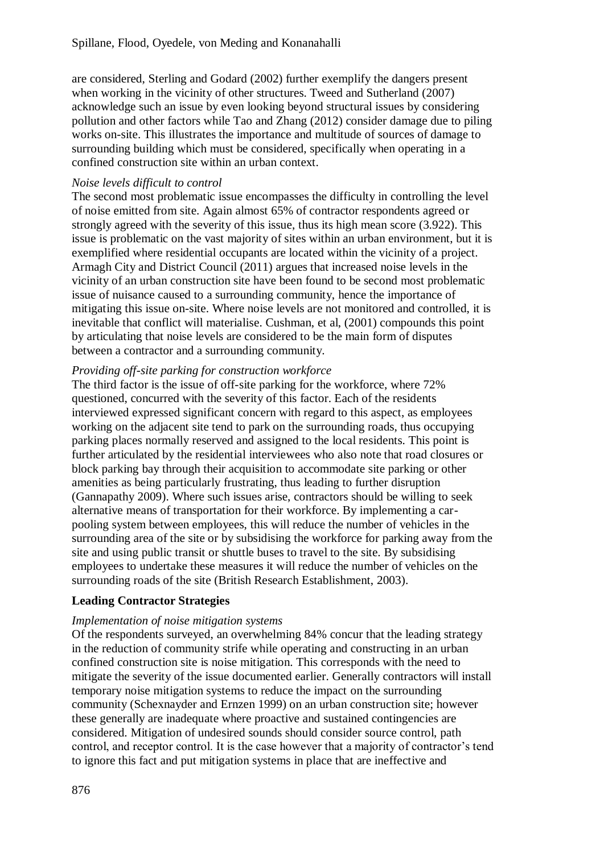are considered, Sterling and Godard (2002) further exemplify the dangers present when working in the vicinity of other structures. Tweed and Sutherland (2007) acknowledge such an issue by even looking beyond structural issues by considering pollution and other factors while Tao and Zhang (2012) consider damage due to piling works on-site. This illustrates the importance and multitude of sources of damage to surrounding building which must be considered, specifically when operating in a confined construction site within an urban context.

### *Noise levels difficult to control*

The second most problematic issue encompasses the difficulty in controlling the level of noise emitted from site. Again almost 65% of contractor respondents agreed or strongly agreed with the severity of this issue, thus its high mean score (3.922). This issue is problematic on the vast majority of sites within an urban environment, but it is exemplified where residential occupants are located within the vicinity of a project. Armagh City and District Council (2011) argues that increased noise levels in the vicinity of an urban construction site have been found to be second most problematic issue of nuisance caused to a surrounding community, hence the importance of mitigating this issue on-site. Where noise levels are not monitored and controlled, it is inevitable that conflict will materialise. Cushman, et al, (2001) compounds this point by articulating that noise levels are considered to be the main form of disputes between a contractor and a surrounding community.

## *Providing off-site parking for construction workforce*

The third factor is the issue of off-site parking for the workforce, where 72% questioned, concurred with the severity of this factor. Each of the residents interviewed expressed significant concern with regard to this aspect, as employees working on the adjacent site tend to park on the surrounding roads, thus occupying parking places normally reserved and assigned to the local residents. This point is further articulated by the residential interviewees who also note that road closures or block parking bay through their acquisition to accommodate site parking or other amenities as being particularly frustrating, thus leading to further disruption (Gannapathy 2009). Where such issues arise, contractors should be willing to seek alternative means of transportation for their workforce. By implementing a carpooling system between employees, this will reduce the number of vehicles in the surrounding area of the site or by subsidising the workforce for parking away from the site and using public transit or shuttle buses to travel to the site. By subsidising employees to undertake these measures it will reduce the number of vehicles on the surrounding roads of the site (British Research Establishment, 2003).

## **Leading Contractor Strategies**

## *Implementation of noise mitigation systems*

Of the respondents surveyed, an overwhelming 84% concur that the leading strategy in the reduction of community strife while operating and constructing in an urban confined construction site is noise mitigation. This corresponds with the need to mitigate the severity of the issue documented earlier. Generally contractors will install temporary noise mitigation systems to reduce the impact on the surrounding community (Schexnayder and Ernzen 1999) on an urban construction site; however these generally are inadequate where proactive and sustained contingencies are considered. Mitigation of undesired sounds should consider source control, path control, and receptor control. It is the case however that a majority of contractor's tend to ignore this fact and put mitigation systems in place that are ineffective and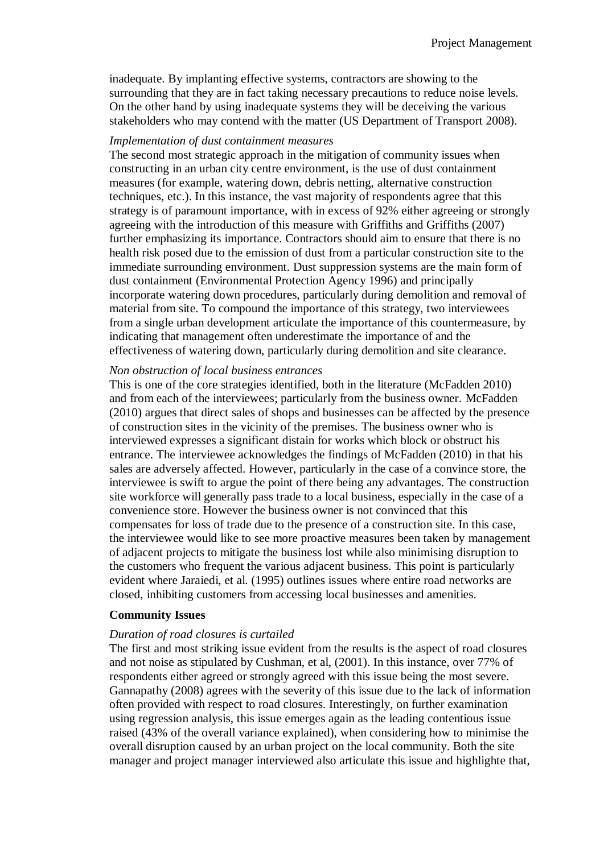inadequate. By implanting effective systems, contractors are showing to the surrounding that they are in fact taking necessary precautions to reduce noise levels. On the other hand by using inadequate systems they will be deceiving the various stakeholders who may contend with the matter (US Department of Transport 2008).

#### *Implementation of dust containment measures*

The second most strategic approach in the mitigation of community issues when constructing in an urban city centre environment, is the use of dust containment measures (for example, watering down, debris netting, alternative construction techniques, etc.). In this instance, the vast majority of respondents agree that this strategy is of paramount importance, with in excess of 92% either agreeing or strongly agreeing with the introduction of this measure with Griffiths and Griffiths (2007) further emphasizing its importance. Contractors should aim to ensure that there is no health risk posed due to the emission of dust from a particular construction site to the immediate surrounding environment. Dust suppression systems are the main form of dust containment (Environmental Protection Agency 1996) and principally incorporate watering down procedures, particularly during demolition and removal of material from site. To compound the importance of this strategy, two interviewees from a single urban development articulate the importance of this countermeasure, by indicating that management often underestimate the importance of and the effectiveness of watering down, particularly during demolition and site clearance.

#### *Non obstruction of local business entrances*

This is one of the core strategies identified, both in the literature (McFadden 2010) and from each of the interviewees; particularly from the business owner. McFadden (2010) argues that direct sales of shops and businesses can be affected by the presence of construction sites in the vicinity of the premises. The business owner who is interviewed expresses a significant distain for works which block or obstruct his entrance. The interviewee acknowledges the findings of McFadden (2010) in that his sales are adversely affected. However, particularly in the case of a convince store, the interviewee is swift to argue the point of there being any advantages. The construction site workforce will generally pass trade to a local business, especially in the case of a convenience store. However the business owner is not convinced that this compensates for loss of trade due to the presence of a construction site. In this case, the interviewee would like to see more proactive measures been taken by management of adjacent projects to mitigate the business lost while also minimising disruption to the customers who frequent the various adjacent business. This point is particularly evident where Jaraiedi, et al. (1995) outlines issues where entire road networks are closed, inhibiting customers from accessing local businesses and amenities.

#### **Community Issues**

#### *Duration of road closures is curtailed*

The first and most striking issue evident from the results is the aspect of road closures and not noise as stipulated by Cushman, et al, (2001). In this instance, over 77% of respondents either agreed or strongly agreed with this issue being the most severe. Gannapathy (2008) agrees with the severity of this issue due to the lack of information often provided with respect to road closures. Interestingly, on further examination using regression analysis, this issue emerges again as the leading contentious issue raised (43% of the overall variance explained), when considering how to minimise the overall disruption caused by an urban project on the local community. Both the site manager and project manager interviewed also articulate this issue and highlighte that,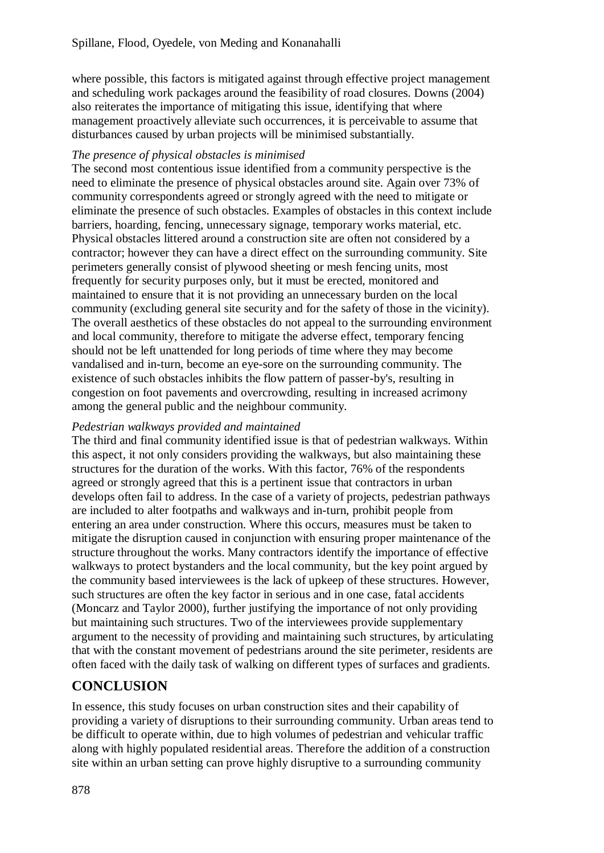where possible, this factors is mitigated against through effective project management and scheduling work packages around the feasibility of road closures. Downs (2004) also reiterates the importance of mitigating this issue, identifying that where management proactively alleviate such occurrences, it is perceivable to assume that disturbances caused by urban projects will be minimised substantially.

## *The presence of physical obstacles is minimised*

The second most contentious issue identified from a community perspective is the need to eliminate the presence of physical obstacles around site. Again over 73% of community correspondents agreed or strongly agreed with the need to mitigate or eliminate the presence of such obstacles. Examples of obstacles in this context include barriers, hoarding, fencing, unnecessary signage, temporary works material, etc. Physical obstacles littered around a construction site are often not considered by a contractor; however they can have a direct effect on the surrounding community. Site perimeters generally consist of plywood sheeting or mesh fencing units, most frequently for security purposes only, but it must be erected, monitored and maintained to ensure that it is not providing an unnecessary burden on the local community (excluding general site security and for the safety of those in the vicinity). The overall aesthetics of these obstacles do not appeal to the surrounding environment and local community, therefore to mitigate the adverse effect, temporary fencing should not be left unattended for long periods of time where they may become vandalised and in-turn, become an eye-sore on the surrounding community. The existence of such obstacles inhibits the flow pattern of passer-by's, resulting in congestion on foot pavements and overcrowding, resulting in increased acrimony among the general public and the neighbour community.

### *Pedestrian walkways provided and maintained*

The third and final community identified issue is that of pedestrian walkways. Within this aspect, it not only considers providing the walkways, but also maintaining these structures for the duration of the works. With this factor, 76% of the respondents agreed or strongly agreed that this is a pertinent issue that contractors in urban develops often fail to address. In the case of a variety of projects, pedestrian pathways are included to alter footpaths and walkways and in-turn, prohibit people from entering an area under construction. Where this occurs, measures must be taken to mitigate the disruption caused in conjunction with ensuring proper maintenance of the structure throughout the works. Many contractors identify the importance of effective walkways to protect bystanders and the local community, but the key point argued by the community based interviewees is the lack of upkeep of these structures. However, such structures are often the key factor in serious and in one case, fatal accidents (Moncarz and Taylor 2000), further justifying the importance of not only providing but maintaining such structures. Two of the interviewees provide supplementary argument to the necessity of providing and maintaining such structures, by articulating that with the constant movement of pedestrians around the site perimeter, residents are often faced with the daily task of walking on different types of surfaces and gradients.

## **CONCLUSION**

In essence, this study focuses on urban construction sites and their capability of providing a variety of disruptions to their surrounding community. Urban areas tend to be difficult to operate within, due to high volumes of pedestrian and vehicular traffic along with highly populated residential areas. Therefore the addition of a construction site within an urban setting can prove highly disruptive to a surrounding community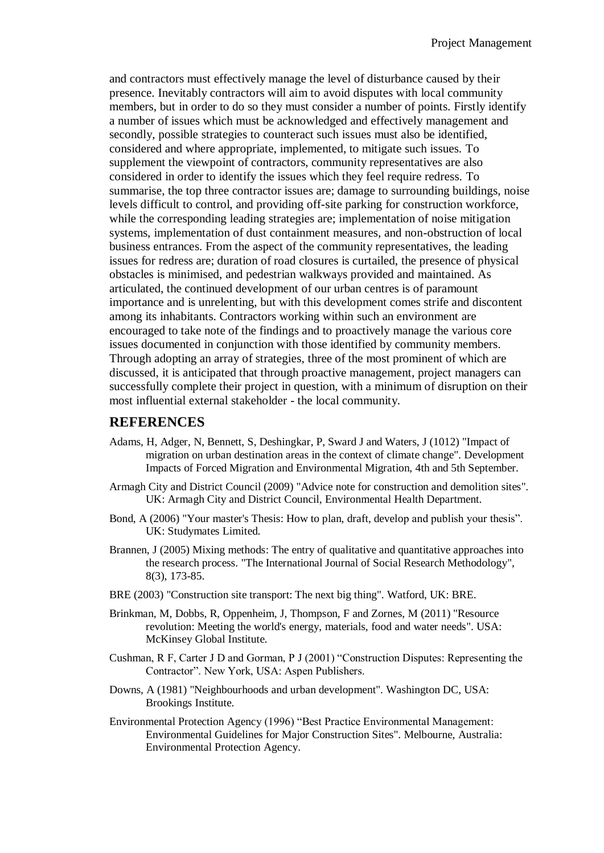and contractors must effectively manage the level of disturbance caused by their presence. Inevitably contractors will aim to avoid disputes with local community members, but in order to do so they must consider a number of points. Firstly identify a number of issues which must be acknowledged and effectively management and secondly, possible strategies to counteract such issues must also be identified, considered and where appropriate, implemented, to mitigate such issues. To supplement the viewpoint of contractors, community representatives are also considered in order to identify the issues which they feel require redress. To summarise, the top three contractor issues are; damage to surrounding buildings, noise levels difficult to control, and providing off-site parking for construction workforce, while the corresponding leading strategies are; implementation of noise mitigation systems, implementation of dust containment measures, and non-obstruction of local business entrances. From the aspect of the community representatives, the leading issues for redress are; duration of road closures is curtailed, the presence of physical obstacles is minimised, and pedestrian walkways provided and maintained. As articulated, the continued development of our urban centres is of paramount importance and is unrelenting, but with this development comes strife and discontent among its inhabitants. Contractors working within such an environment are encouraged to take note of the findings and to proactively manage the various core issues documented in conjunction with those identified by community members. Through adopting an array of strategies, three of the most prominent of which are discussed, it is anticipated that through proactive management, project managers can successfully complete their project in question, with a minimum of disruption on their most influential external stakeholder - the local community.

### **REFERENCES**

- Adams, H, Adger, N, Bennett, S, Deshingkar, P, Sward J and Waters, J (1012) "Impact of migration on urban destination areas in the context of climate change". Development Impacts of Forced Migration and Environmental Migration, 4th and 5th September.
- Armagh City and District Council (2009) "Advice note for construction and demolition sites". UK: Armagh City and District Council, Environmental Health Department.
- Bond, A (2006) "Your master's Thesis: How to plan, draft, develop and publish your thesis". UK: Studymates Limited.
- Brannen, J (2005) Mixing methods: The entry of qualitative and quantitative approaches into the research process. "The International Journal of Social Research Methodology", 8(3), 173-85.
- BRE (2003) "Construction site transport: The next big thing". Watford, UK: BRE.
- Brinkman, M, Dobbs, R, Oppenheim, J, Thompson, F and Zornes, M (2011) "Resource revolution: Meeting the world's energy, materials, food and water needs". USA: McKinsey Global Institute.
- Cushman, R F, Carter J D and Gorman, P J (2001) "Construction Disputes: Representing the Contractor". New York, USA: Aspen Publishers.
- Downs, A (1981) "Neighbourhoods and urban development". Washington DC, USA: Brookings Institute.
- Environmental Protection Agency (1996) "Best Practice Environmental Management: Environmental Guidelines for Major Construction Sites". Melbourne, Australia: Environmental Protection Agency.